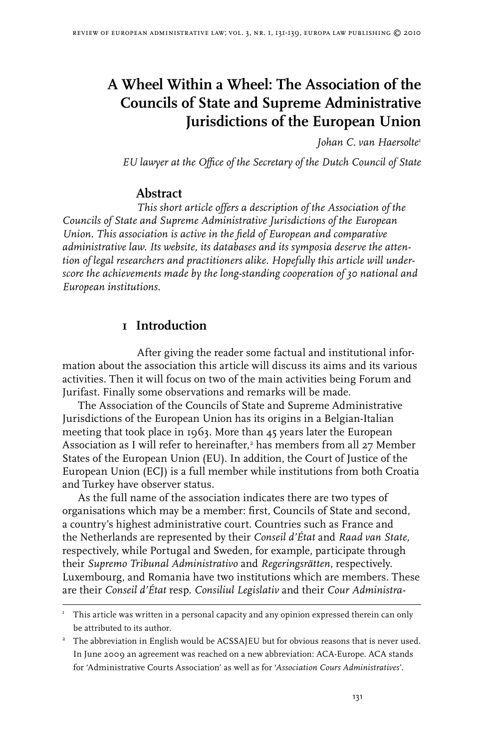# **A Wheel Within a Wheel: The Association of the Councils of State and Supreme Administrative Jurisdictions of the European Union**

*Johan C. van Haersolte*

*EU lawyer at the Office of the Secretary of the Dutch Council of State*

#### **Abstract**

*This short article offers a description of the Association of the Councils of State and Supreme Administrative Jurisdictions of the European Union. This association is active in the field of European and comparative administrative law. Its website, its databases and its symposia deserve the attention of legal researchers and practitioners alike. Hopefully this article will underscore the achievements made by the long-standing cooperation of 30 national and European institutions.* 

## **1 Introduction**

After giving the reader some factual and institutional information about the association this article will discuss its aims and its various activities. Then it will focus on two of the main activities being Forum and Jurifast. Finally some observations and remarks will be made.

The Association of the Councils of State and Supreme Administrative Jurisdictions of the European Union has its origins in a Belgian-Italian meeting that took place in 1963. More than 45 years later the European Association as I will refer to hereinafter, has members from all 27 Member States of the European Union (EU). In addition, the Court of Justice of the European Union (ECJ) is a full member while institutions from both Croatia and Turkey have observer status.

As the full name of the association indicates there are two types of organisations which may be a member: first, Councils of State and second, a country's highest administrative court. Countries such as France and the Netherlands are represented by their *Conseil d'État* and *Raad van State,* respectively, while Portugal and Sweden, for example, participate through their *Supremo Tribunal Administrativo* and *Regeringsrätten*, respectively. Luxembourg, and Romania have two institutions which are members. These are their *Conseil d'État* resp. *Consiliul Legislativ* and their *Cour Administra-*

 $T$  This article was written in a personal capacity and any opinion expressed therein can only be attributed to its author.

<sup>&</sup>lt;sup>2</sup> The abbreviation in English would be ACSSAJEU but for obvious reasons that is never used. In June 2009 an agreement was reached on a new abbreviation: ACA-Europe. ACA stands for 'Administrative Courts Association' as well as for '*Association Cours Administratives*'.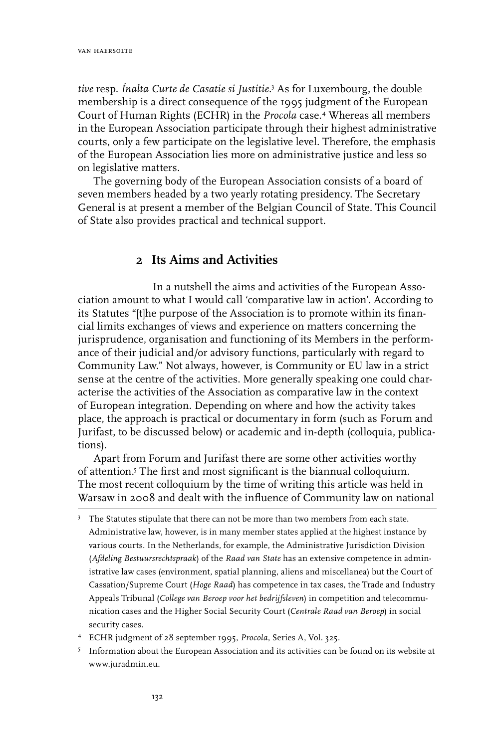*tive* resp. *Ínalta Curte de Casatie si Justitie*. As for Luxembourg, the double membership is a direct consequence of the 1995 judgment of the European Court of Human Rights (ECHR) in the *Procola* case.<sup>4</sup> Whereas all members in the European Association participate through their highest administrative courts, only a few participate on the legislative level. Therefore, the emphasis of the European Association lies more on administrative justice and less so on legislative matters.

The governing body of the European Association consists of a board of seven members headed by a two yearly rotating presidency. The Secretary General is at present a member of the Belgian Council of State. This Council of State also provides practical and technical support.

#### **2 Its Aims and Activities**

In a nutshell the aims and activities of the European Association amount to what I would call 'comparative law in action'. According to its Statutes "[t]he purpose of the Association is to promote within its financial limits exchanges of views and experience on matters concerning the jurisprudence, organisation and functioning of its Members in the performance of their judicial and/or advisory functions, particularly with regard to Community Law." Not always, however, is Community or EU law in a strict sense at the centre of the activities. More generally speaking one could characterise the activities of the Association as comparative law in the context of European integration. Depending on where and how the activity takes place, the approach is practical or documentary in form (such as Forum and Jurifast, to be discussed below) or academic and in-depth (colloquia, publications).

Apart from Forum and Jurifast there are some other activities worthy of attention.<sup>5</sup> The first and most significant is the biannual colloquium. The most recent colloquium by the time of writing this article was held in Warsaw in 2008 and dealt with the influence of Community law on national

- ECHR judgment of 28 september 1995, *Procola*, Series A, Vol. 325.
- <sup>5</sup> Information about the European Association and its activities can be found on its website at www.juradmin.eu.

 $3$  The Statutes stipulate that there can not be more than two members from each state. Administrative law, however, is in many member states applied at the highest instance by various courts. In the Netherlands, for example, the Administrative Jurisdiction Division (*Afdeling Bestuursrechtspraak*) of the *Raad van State* has an extensive competence in administrative law cases (environment, spatial planning, aliens and miscellanea) but the Court of Cassation/Supreme Court (*Hoge Raad*) has competence in tax cases, the Trade and Industry Appeals Tribunal (*College van Beroep voor het bedrijfsleven*) in competition and telecommunication cases and the Higher Social Security Court (*Centrale Raad van Beroep*) in social security cases.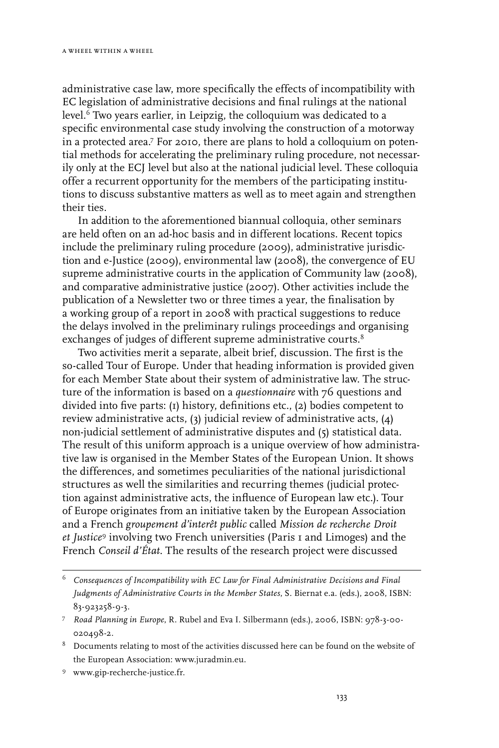administrative case law, more specifically the effects of incompatibility with EC legislation of administrative decisions and final rulings at the national level.<sup>6</sup> Two years earlier, in Leipzig, the colloquium was dedicated to a specific environmental case study involving the construction of a motorway in a protected area.<sup> $7$ </sup> For 2010, there are plans to hold a colloquium on potential methods for accelerating the preliminary ruling procedure, not necessarily only at the ECJ level but also at the national judicial level. These colloquia offer a recurrent opportunity for the members of the participating institutions to discuss substantive matters as well as to meet again and strengthen their ties.

In addition to the aforementioned biannual colloquia, other seminars are held often on an ad-hoc basis and in different locations. Recent topics include the preliminary ruling procedure (2009), administrative jurisdiction and e-Justice (2009), environmental law (2008), the convergence of EU supreme administrative courts in the application of Community law (2008), and comparative administrative justice (2007). Other activities include the publication of a Newsletter two or three times a year, the finalisation by a working group of a report in 2008 with practical suggestions to reduce the delays involved in the preliminary rulings proceedings and organising exchanges of judges of different supreme administrative courts.<sup>8</sup>

Two activities merit a separate, albeit brief, discussion. The first is the so-called Tour of Europe. Under that heading information is provided given for each Member State about their system of administrative law. The structure of the information is based on a *questionnaire* with 76 questions and divided into five parts: (1) history, definitions etc., (2) bodies competent to review administrative acts, (3) judicial review of administrative acts, (4) non-judicial settlement of administrative disputes and (5) statistical data. The result of this uniform approach is a unique overview of how administrative law is organised in the Member States of the European Union. It shows the differences, and sometimes peculiarities of the national jurisdictional structures as well the similarities and recurring themes (judicial protection against administrative acts, the influence of European law etc.). Tour of Europe originates from an initiative taken by the European Association and a French *groupement d'interêt public* called *Mission de recherche Droit et Justice* involving two French universities (Paris 1 and Limoges) and the French *Conseil d'État*. The results of the research project were discussed

www.gip-recherche-justice.fr.

*Consequences of Incompatibility with EC Law for Final Administrative Decisions and Final Judgments of Administrative Courts in the Member States*, S. Biernat e.a. (eds.), 2008, ISBN: 83-923258-9-3.

*Road Planning in Europe*, R. Rubel and Eva I. Silbermann (eds.), 2006, ISBN: 978-3-00- 020498-2.

<sup>&</sup>lt;sup>8</sup> Documents relating to most of the activities discussed here can be found on the website of the European Association: www.juradmin.eu.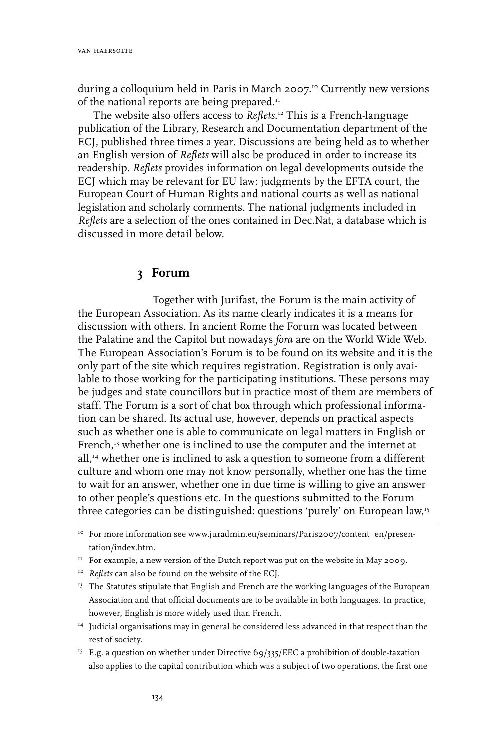during a colloquium held in Paris in March 2007.<sup>10</sup> Currently new versions of the national reports are being prepared.<sup>11</sup>

The website also offers access to *Reflets*. 12 This is a French-language publication of the Library, Research and Documentation department of the ECJ, published three times a year. Discussions are being held as to whether an English version of *Reflets* will also be produced in order to increase its readership. *Reflets* provides information on legal developments outside the ECJ which may be relevant for EU law: judgments by the EFTA court, the European Court of Human Rights and national courts as well as national legislation and scholarly comments. The national judgments included in *Reflets* are a selection of the ones contained in Dec.Nat, a database which is discussed in more detail below.

#### **3 Forum**

Together with Jurifast, the Forum is the main activity of the European Association. As its name clearly indicates it is a means for discussion with others. In ancient Rome the Forum was located between the Palatine and the Capitol but nowadays *fora* are on the World Wide Web. The European Association's Forum is to be found on its website and it is the only part of the site which requires registration. Registration is only available to those working for the participating institutions. These persons may be judges and state councillors but in practice most of them are members of staff. The Forum is a sort of chat box through which professional information can be shared. Its actual use, however, depends on practical aspects such as whether one is able to communicate on legal matters in English or French,<sup>13</sup> whether one is inclined to use the computer and the internet at all,<sup>14</sup> whether one is inclined to ask a question to someone from a different culture and whom one may not know personally, whether one has the time to wait for an answer, whether one in due time is willing to give an answer to other people's questions etc. In the questions submitted to the Forum three categories can be distinguished: questions 'purely' on European law,<sup>15</sup>

- <sup>12</sup> *Reflets* can also be found on the website of the ECJ.
- <sup>13</sup> The Statutes stipulate that English and French are the working languages of the European Association and that official documents are to be available in both languages. In practice, however, English is more widely used than French.
- <sup>14</sup> Judicial organisations may in general be considered less advanced in that respect than the rest of society.
- <sup>15</sup> E.g. a question on whether under Directive 69/335/EEC a prohibition of double-taxation also applies to the capital contribution which was a subject of two operations, the first one

<sup>&</sup>lt;sup>10</sup> For more information see www.juradmin.eu/seminars/Paris2007/content\_en/presentation/index.htm.

 $11$  For example, a new version of the Dutch report was put on the website in May 2009.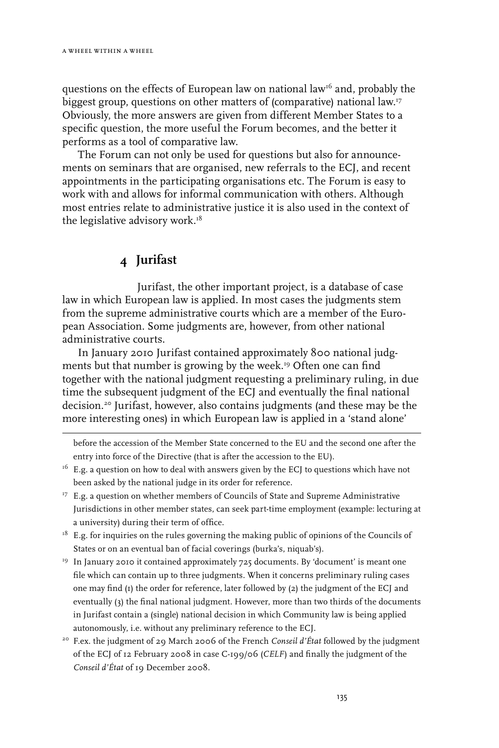questions on the effects of European law on national law<sup>16</sup> and, probably the biggest group, questions on other matters of (comparative) national law.17 Obviously, the more answers are given from different Member States to a specific question, the more useful the Forum becomes, and the better it performs as a tool of comparative law.

The Forum can not only be used for questions but also for announcements on seminars that are organised, new referrals to the ECJ, and recent appointments in the participating organisations etc. The Forum is easy to work with and allows for informal communication with others. Although most entries relate to administrative justice it is also used in the context of the legislative advisory work.<sup>18</sup>

# **4 Jurifast**

Jurifast, the other important project, is a database of case law in which European law is applied. In most cases the judgments stem from the supreme administrative courts which are a member of the European Association. Some judgments are, however, from other national administrative courts.

In January 2010 Jurifast contained approximately 800 national judgments but that number is growing by the week.<sup>19</sup> Often one can find together with the national judgment requesting a preliminary ruling, in due time the subsequent judgment of the ECJ and eventually the final national decision.20 Jurifast, however, also contains judgments (and these may be the more interesting ones) in which European law is applied in a 'stand alone'

before the accession of the Member State concerned to the EU and the second one after the entry into force of the Directive (that is after the accession to the EU).

20 F.ex. the judgment of 29 March 2006 of the French *Conseil d'État* followed by the judgment of the ECJ of 12 February 2008 in case C-199/06 (*CELF*) and finally the judgment of the *Conseil d'État* of 19 December 2008.

 $16$  E.g. a question on how to deal with answers given by the ECJ to questions which have not been asked by the national judge in its order for reference.

<sup>&</sup>lt;sup>17</sup> E.g. a question on whether members of Councils of State and Supreme Administrative Jurisdictions in other member states, can seek part-time employment (example: lecturing at a university) during their term of office.

 $18$  E.g. for inquiries on the rules governing the making public of opinions of the Councils of States or on an eventual ban of facial coverings (burka's, niquab's).

<sup>&</sup>lt;sup>19</sup> In January 2010 it contained approximately 725 documents. By 'document' is meant one file which can contain up to three judgments. When it concerns preliminary ruling cases one may find (1) the order for reference, later followed by (2) the judgment of the ECJ and eventually (3) the final national judgment. However, more than two thirds of the documents in Jurifast contain a (single) national decision in which Community law is being applied autonomously, i.e. without any preliminary reference to the ECJ.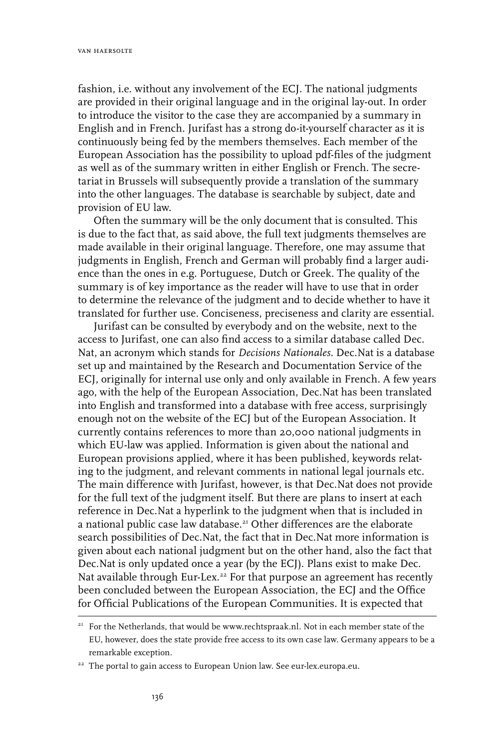fashion, i.e. without any involvement of the ECJ. The national judgments are provided in their original language and in the original lay-out. In order to introduce the visitor to the case they are accompanied by a summary in English and in French. Jurifast has a strong do-it-yourself character as it is continuously being fed by the members themselves. Each member of the European Association has the possibility to upload pdf-files of the judgment as well as of the summary written in either English or French. The secretariat in Brussels will subsequently provide a translation of the summary into the other languages. The database is searchable by subject, date and provision of EU law.

Often the summary will be the only document that is consulted. This is due to the fact that, as said above, the full text judgments themselves are made available in their original language. Therefore, one may assume that judgments in English, French and German will probably find a larger audience than the ones in e.g. Portuguese, Dutch or Greek. The quality of the summary is of key importance as the reader will have to use that in order to determine the relevance of the judgment and to decide whether to have it translated for further use. Conciseness, preciseness and clarity are essential.

Jurifast can be consulted by everybody and on the website, next to the access to Jurifast, one can also find access to a similar database called Dec. Nat, an acronym which stands for *Decisions Nationales*. Dec.Nat is a database set up and maintained by the Research and Documentation Service of the ECJ, originally for internal use only and only available in French. A few years ago, with the help of the European Association, Dec.Nat has been translated into English and transformed into a database with free access, surprisingly enough not on the website of the ECJ but of the European Association. It currently contains references to more than 20,000 national judgments in which EU-law was applied. Information is given about the national and European provisions applied, where it has been published, keywords relating to the judgment, and relevant comments in national legal journals etc. The main difference with Jurifast, however, is that Dec.Nat does not provide for the full text of the judgment itself. But there are plans to insert at each reference in Dec.Nat a hyperlink to the judgment when that is included in a national public case law database.<sup>21</sup> Other differences are the elaborate search possibilities of Dec.Nat, the fact that in Dec.Nat more information is given about each national judgment but on the other hand, also the fact that Dec.Nat is only updated once a year (by the ECJ). Plans exist to make Dec. Nat available through Eur-Lex.<sup>22</sup> For that purpose an agreement has recently been concluded between the European Association, the ECJ and the Office for Official Publications of the European Communities. It is expected that

<sup>&</sup>lt;sup>21</sup> For the Netherlands, that would be www.rechtspraak.nl. Not in each member state of the EU, however, does the state provide free access to its own case law. Germany appears to be a remarkable exception.

<sup>&</sup>lt;sup>22</sup> The portal to gain access to European Union law. See eur-lex.europa.eu.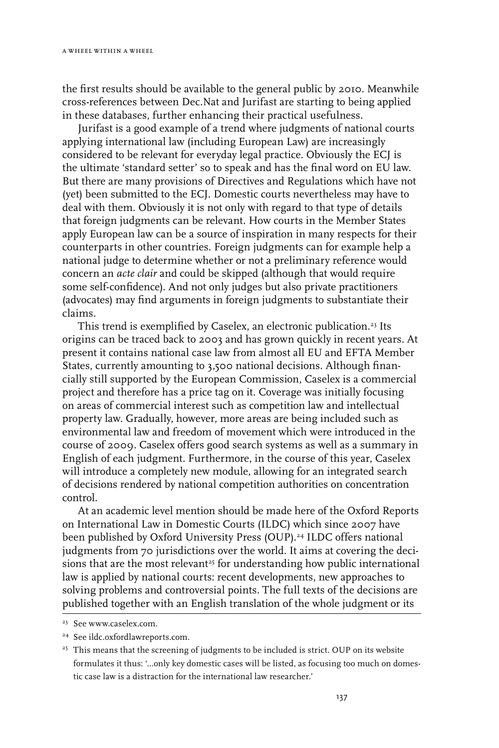the first results should be available to the general public by 2010. Meanwhile cross-references between Dec.Nat and Jurifast are starting to being applied in these databases, further enhancing their practical usefulness.

Jurifast is a good example of a trend where judgments of national courts applying international law (including European Law) are increasingly considered to be relevant for everyday legal practice. Obviously the ECJ is the ultimate 'standard setter' so to speak and has the final word on EU law. But there are many provisions of Directives and Regulations which have not (yet) been submitted to the ECJ. Domestic courts nevertheless may have to deal with them. Obviously it is not only with regard to that type of details that foreign judgments can be relevant. How courts in the Member States apply European law can be a source of inspiration in many respects for their counterparts in other countries. Foreign judgments can for example help a national judge to determine whether or not a preliminary reference would concern an *acte clair* and could be skipped (although that would require some self-confidence). And not only judges but also private practitioners (advocates) may find arguments in foreign judgments to substantiate their claims.

This trend is exemplified by Caselex, an electronic publication.<sup>23</sup> Its origins can be traced back to 2003 and has grown quickly in recent years. At present it contains national case law from almost all EU and EFTA Member States, currently amounting to 3,500 national decisions. Although financially still supported by the European Commission, Caselex is a commercial project and therefore has a price tag on it. Coverage was initially focusing on areas of commercial interest such as competition law and intellectual property law. Gradually, however, more areas are being included such as environmental law and freedom of movement which were introduced in the course of 2009. Caselex offers good search systems as well as a summary in English of each judgment. Furthermore, in the course of this year, Caselex will introduce a completely new module, allowing for an integrated search of decisions rendered by national competition authorities on concentration control.

At an academic level mention should be made here of the Oxford Reports on International Law in Domestic Courts (ILDC) which since 2007 have been published by Oxford University Press (OUP).<sup>24</sup> ILDC offers national judgments from 70 jurisdictions over the world. It aims at covering the decisions that are the most relevant<sup>25</sup> for understanding how public international law is applied by national courts: recent developments, new approaches to solving problems and controversial points. The full texts of the decisions are published together with an English translation of the whole judgment or its

<sup>23</sup> See www.caselex.com.

<sup>24</sup> See ildc.oxfordlawreports.com.

<sup>&</sup>lt;sup>25</sup> This means that the screening of judgments to be included is strict. OUP on its website formulates it thus: '…only key domestic cases will be listed, as focusing too much on domestic case law is a distraction for the international law researcher.'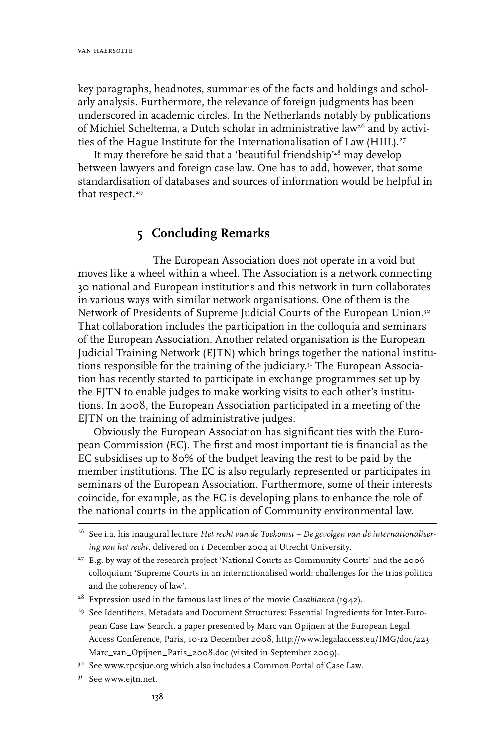key paragraphs, headnotes, summaries of the facts and holdings and scholarly analysis. Furthermore, the relevance of foreign judgments has been underscored in academic circles. In the Netherlands notably by publications of Michiel Scheltema, a Dutch scholar in administrative law<sup>26</sup> and by activities of the Hague Institute for the Internationalisation of Law (HIIL).<sup>27</sup>

It may therefore be said that a 'beautiful friendship'28 may develop between lawyers and foreign case law. One has to add, however, that some standardisation of databases and sources of information would be helpful in that respect.<sup>29</sup>

## **5 Concluding Remarks**

The European Association does not operate in a void but moves like a wheel within a wheel. The Association is a network connecting 30 national and European institutions and this network in turn collaborates in various ways with similar network organisations. One of them is the Network of Presidents of Supreme Judicial Courts of the European Union.<sup>30</sup> That collaboration includes the participation in the colloquia and seminars of the European Association. Another related organisation is the European Judicial Training Network (EJTN) which brings together the national institutions responsible for the training of the judiciary.31 The European Association has recently started to participate in exchange programmes set up by the EJTN to enable judges to make working visits to each other's institutions. In 2008, the European Association participated in a meeting of the EJTN on the training of administrative judges.

Obviously the European Association has significant ties with the European Commission (EC). The first and most important tie is financial as the EC subsidises up to 80% of the budget leaving the rest to be paid by the member institutions. The EC is also regularly represented or participates in seminars of the European Association. Furthermore, some of their interests coincide, for example, as the EC is developing plans to enhance the role of the national courts in the application of Community environmental law.

<sup>26</sup> See i.a. his inaugural lecture *Het recht van de Toekomst – De gevolgen van de internationalisering van het recht*, delivered on 1 December 2004 at Utrecht University.

<sup>&</sup>lt;sup>27</sup> E.g. by way of the research project 'National Courts as Community Courts' and the 2006 colloquium 'Supreme Courts in an internationalised world: challenges for the trias politica and the coherency of law'.

<sup>28</sup> Expression used in the famous last lines of the movie *Casablanca* (1942).

<sup>29</sup> See Identifiers, Metadata and Document Structures: Essential Ingredients for Inter-European Case Law Search, a paper presented by Marc van Opijnen at the European Legal Access Conference, Paris, 10-12 December 2008, http://www.legalaccess.eu/IMG/doc/223\_ Marc\_van\_Opijnen\_Paris\_2008.doc (visited in September 2009).

<sup>&</sup>lt;sup>30</sup> See www.rpcsjue.org which also includes a Common Portal of Case Law.

<sup>&</sup>lt;sup>31</sup> See www.ejtn.net.